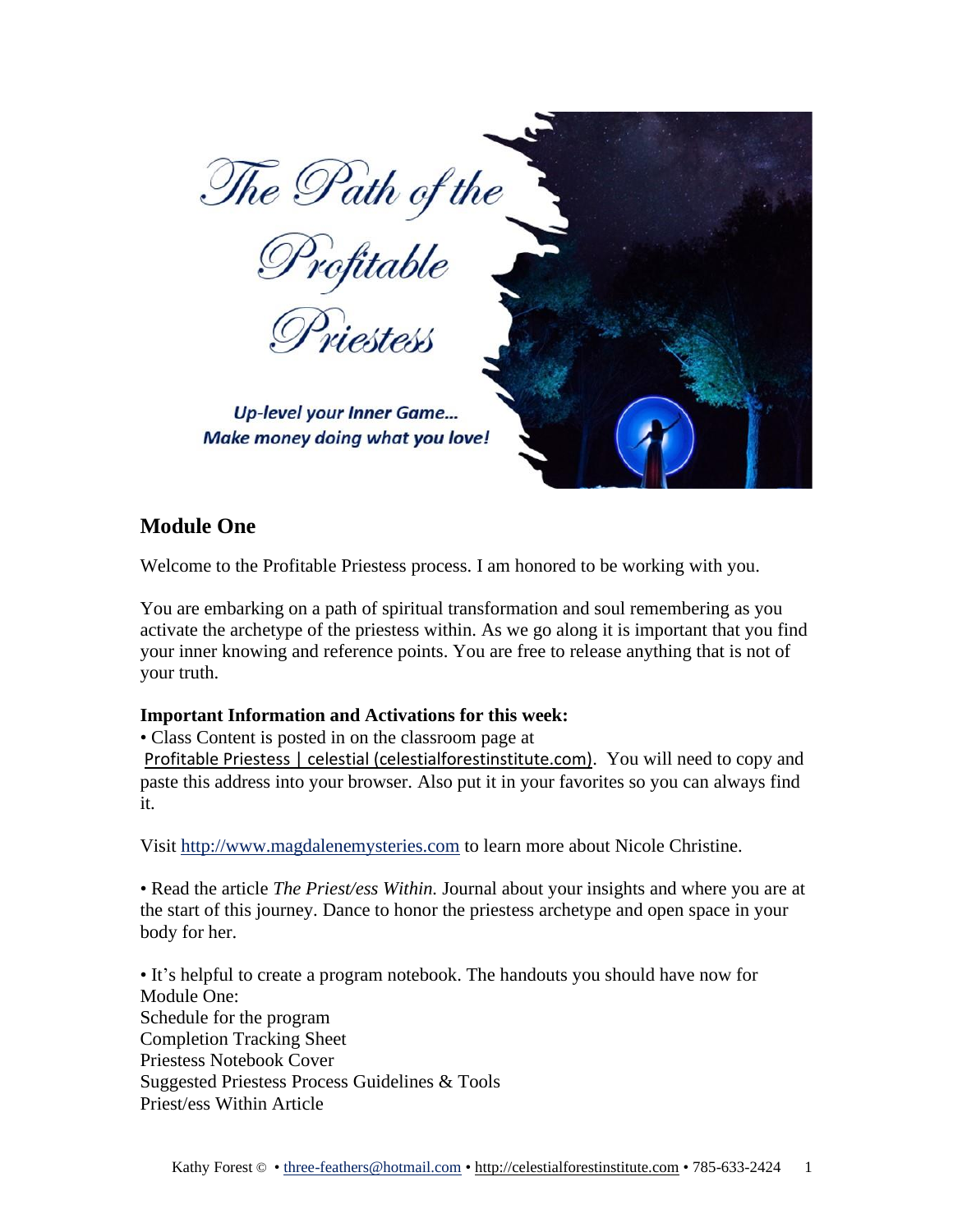

# **Module One**

Welcome to the Profitable Priestess process. I am honored to be working with you.

You are embarking on a path of spiritual transformation and soul remembering as you activate the archetype of the priestess within. As we go along it is important that you find your inner knowing and reference points. You are free to release anything that is not of your truth.

### **Important Information and Activations for this week:**

• Class Content is posted in on the classroom page at

Profitable Priestess | celestial [\(celestialforestinstitute.com\)](https://www.celestialforestinstitute.com/profitable-priestess). You will need to copy and paste this address into your browser. Also put it in your favorites so you can always find it.

Visit [http://www.magdalenemysteries.com](http://www.magdalenemysteries.com/) to learn more about Nicole Christine.

• Read the article *The Priest/ess Within.* Journal about your insights and where you are at the start of this journey. Dance to honor the priestess archetype and open space in your body for her.

• It's helpful to create a program notebook. The handouts you should have now for Module One: Schedule for the program Completion Tracking Sheet Priestess Notebook Cover Suggested Priestess Process Guidelines & Tools Priest/ess Within Article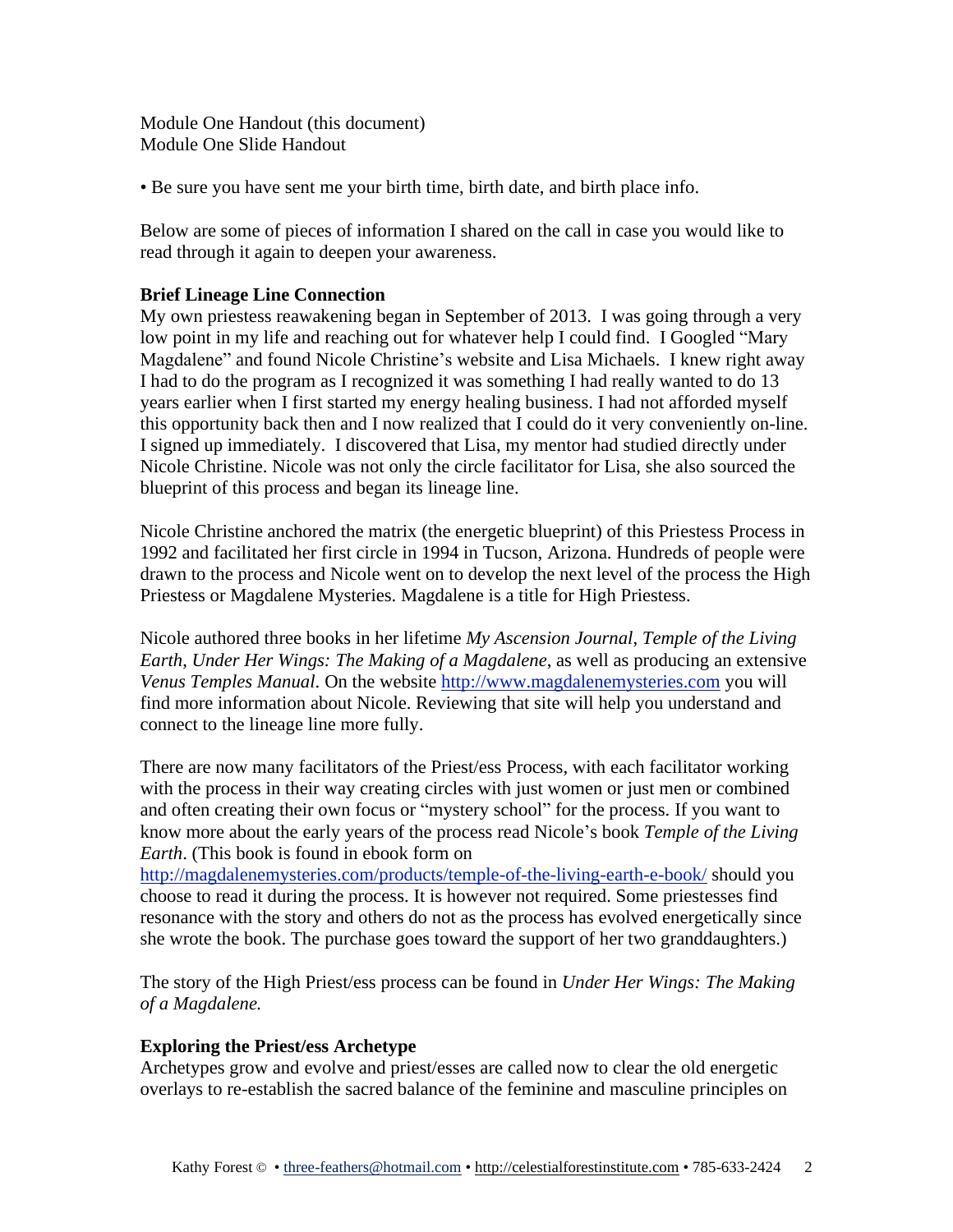Module One Handout (this document) Module One Slide Handout

• Be sure you have sent me your birth time, birth date, and birth place info.

Below are some of pieces of information I shared on the call in case you would like to read through it again to deepen your awareness.

## **Brief Lineage Line Connection**

My own priestess reawakening began in September of 2013. I was going through a very low point in my life and reaching out for whatever help I could find. I Googled "Mary Magdalene" and found Nicole Christine's website and Lisa Michaels. I knew right away I had to do the program as I recognized it was something I had really wanted to do 13 years earlier when I first started my energy healing business. I had not afforded myself this opportunity back then and I now realized that I could do it very conveniently on-line. I signed up immediately. I discovered that Lisa, my mentor had studied directly under Nicole Christine. Nicole was not only the circle facilitator for Lisa, she also sourced the blueprint of this process and began its lineage line.

Nicole Christine anchored the matrix (the energetic blueprint) of this Priestess Process in 1992 and facilitated her first circle in 1994 in Tucson, Arizona. Hundreds of people were drawn to the process and Nicole went on to develop the next level of the process the High Priestess or Magdalene Mysteries. Magdalene is a title for High Priestess.

Nicole authored three books in her lifetime *My Ascension Journal*, *Temple of the Living Earth*, *Under Her Wings: The Making of a Magdalene*, as well as producing an extensive *Venus Temples Manual*. On the website [http://www.magdalenemysteries.com](http://www.magdalenemysteries.com/) you will find more information about Nicole. Reviewing that site will help you understand and connect to the lineage line more fully.

There are now many facilitators of the Priest/ess Process, with each facilitator working with the process in their way creating circles with just women or just men or combined and often creating their own focus or "mystery school" for the process. If you want to know more about the early years of the process read Nicole's book *Temple of the Living Earth*. (This book is found in ebook form on

<http://magdalenemysteries.com/products/temple-of-the-living-earth-e-book/> should you choose to read it during the process. It is however not required. Some priestesses find resonance with the story and others do not as the process has evolved energetically since she wrote the book. The purchase goes toward the support of her two granddaughters.)

The story of the High Priest/ess process can be found in *Under Her Wings: The Making of a Magdalene.*

### **Exploring the Priest/ess Archetype**

Archetypes grow and evolve and priest/esses are called now to clear the old energetic overlays to re-establish the sacred balance of the feminine and masculine principles on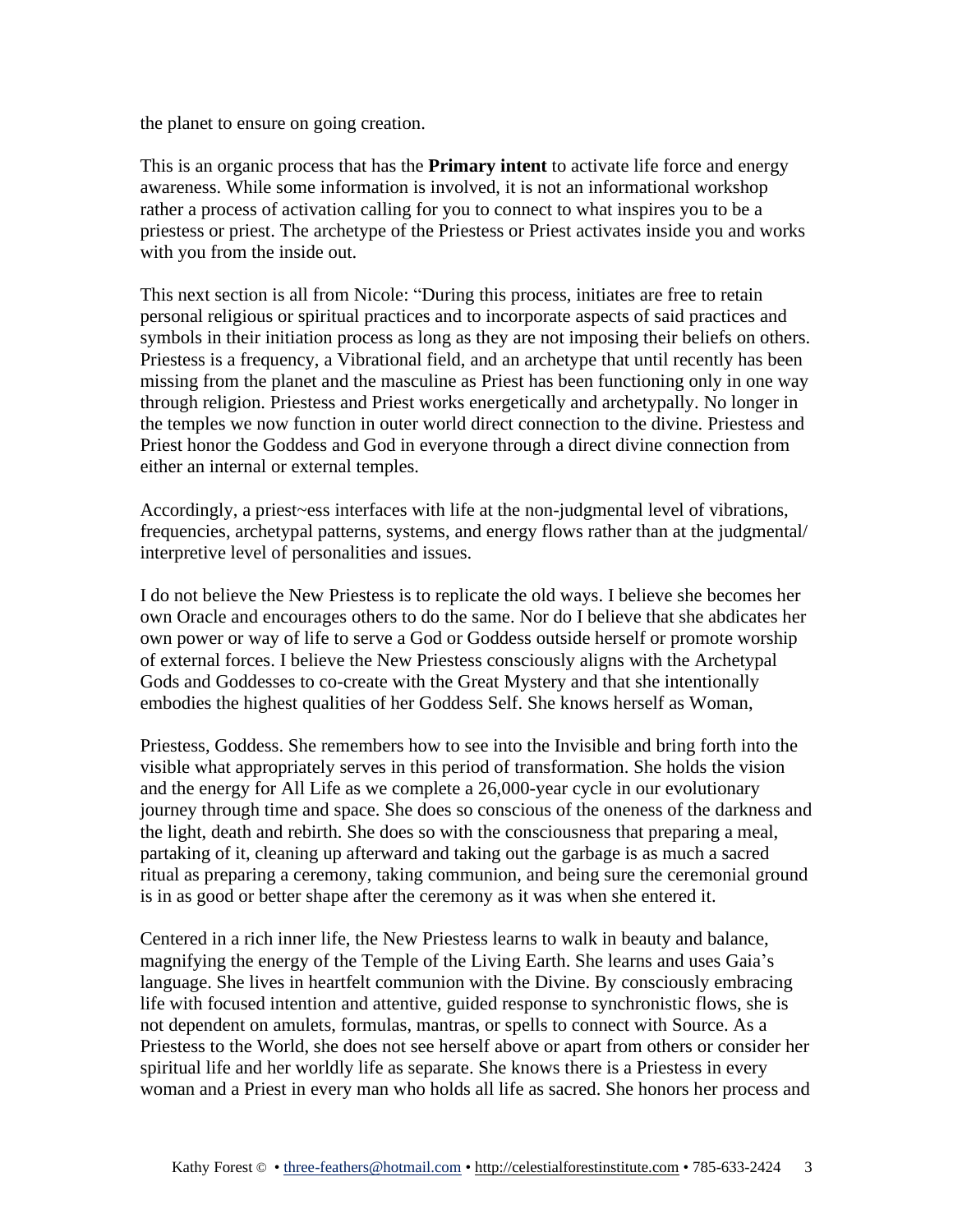the planet to ensure on going creation.

This is an organic process that has the **Primary intent** to activate life force and energy awareness. While some information is involved, it is not an informational workshop rather a process of activation calling for you to connect to what inspires you to be a priestess or priest. The archetype of the Priestess or Priest activates inside you and works with you from the inside out.

This next section is all from Nicole: "During this process, initiates are free to retain personal religious or spiritual practices and to incorporate aspects of said practices and symbols in their initiation process as long as they are not imposing their beliefs on others. Priestess is a frequency, a Vibrational field, and an archetype that until recently has been missing from the planet and the masculine as Priest has been functioning only in one way through religion. Priestess and Priest works energetically and archetypally. No longer in the temples we now function in outer world direct connection to the divine. Priestess and Priest honor the Goddess and God in everyone through a direct divine connection from either an internal or external temples.

Accordingly, a priest~ess interfaces with life at the non-judgmental level of vibrations, frequencies, archetypal patterns, systems, and energy flows rather than at the judgmental/ interpretive level of personalities and issues.

I do not believe the New Priestess is to replicate the old ways. I believe she becomes her own Oracle and encourages others to do the same. Nor do I believe that she abdicates her own power or way of life to serve a God or Goddess outside herself or promote worship of external forces. I believe the New Priestess consciously aligns with the Archetypal Gods and Goddesses to co-create with the Great Mystery and that she intentionally embodies the highest qualities of her Goddess Self. She knows herself as Woman,

Priestess, Goddess. She remembers how to see into the Invisible and bring forth into the visible what appropriately serves in this period of transformation. She holds the vision and the energy for All Life as we complete a 26,000-year cycle in our evolutionary journey through time and space. She does so conscious of the oneness of the darkness and the light, death and rebirth. She does so with the consciousness that preparing a meal, partaking of it, cleaning up afterward and taking out the garbage is as much a sacred ritual as preparing a ceremony, taking communion, and being sure the ceremonial ground is in as good or better shape after the ceremony as it was when she entered it.

Centered in a rich inner life, the New Priestess learns to walk in beauty and balance, magnifying the energy of the Temple of the Living Earth. She learns and uses Gaia's language. She lives in heartfelt communion with the Divine. By consciously embracing life with focused intention and attentive, guided response to synchronistic flows, she is not dependent on amulets, formulas, mantras, or spells to connect with Source. As a Priestess to the World, she does not see herself above or apart from others or consider her spiritual life and her worldly life as separate. She knows there is a Priestess in every woman and a Priest in every man who holds all life as sacred. She honors her process and